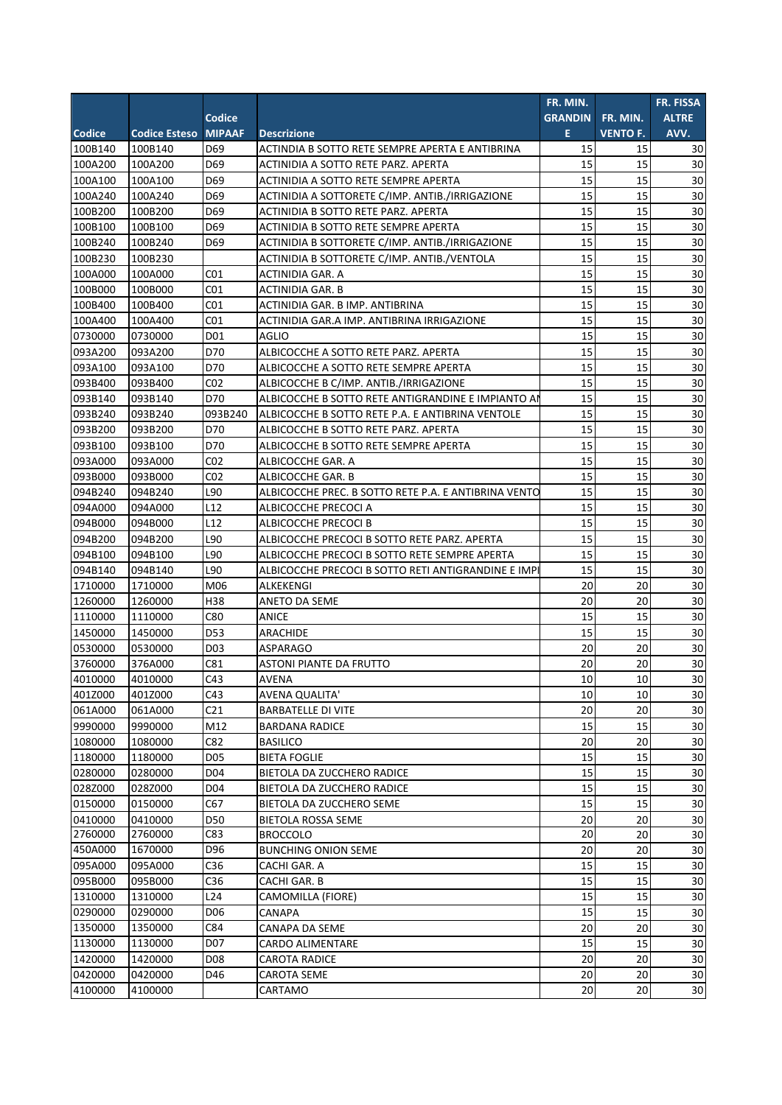|         |                      |                 |                                                      | FR. MIN.       |                 | FR. FISSA    |
|---------|----------------------|-----------------|------------------------------------------------------|----------------|-----------------|--------------|
|         |                      | Codice          |                                                      | <b>GRANDIN</b> | FR. MIN.        | <b>ALTRE</b> |
| Codice  | <b>Codice Esteso</b> | <b>MIPAAF</b>   | <b>Descrizione</b>                                   | E.             | <b>VENTO F.</b> | AVV.         |
| 100B140 | 100B140              | D69             | ACTINDIA B SOTTO RETE SEMPRE APERTA E ANTIBRINA      | 15             | 15              | 30           |
| 100A200 | 100A200              | D69             | ACTINIDIA A SOTTO RETE PARZ. APERTA                  | 15             | 15              | 30           |
| 100A100 | 100A100              | D69             | ACTINIDIA A SOTTO RETE SEMPRE APERTA                 | 15             | 15              | 30           |
| 100A240 | 100A240              | D69             | ACTINIDIA A SOTTORETE C/IMP. ANTIB./IRRIGAZIONE      | 15             | 15              | 30           |
| 100B200 | 100B200              | D69             | ACTINIDIA B SOTTO RETE PARZ. APERTA                  | 15             | 15              | 30           |
| 100B100 | 100B100              | D69             | ACTINIDIA B SOTTO RETE SEMPRE APERTA                 | 15             | 15              | 30           |
| 100B240 | 100B240              | D69             | ACTINIDIA B SOTTORETE C/IMP. ANTIB./IRRIGAZIONE      | 15             | 15              | 30           |
| 100B230 | 100B230              |                 | ACTINIDIA B SOTTORETE C/IMP. ANTIB./VENTOLA          | 15             | 15              | 30           |
| 100A000 | 100A000              | CO <sub>1</sub> | ACTINIDIA GAR. A                                     | 15             | 15              | 30           |
| 100B000 | 100B000              | CO <sub>1</sub> | ACTINIDIA GAR. B                                     | 15             | 15              | 30           |
| 100B400 | 100B400              | CO <sub>1</sub> | ACTINIDIA GAR. B IMP. ANTIBRINA                      | 15             | 15              | 30           |
| 100A400 | 100A400              | CO <sub>1</sub> | ACTINIDIA GAR.A IMP. ANTIBRINA IRRIGAZIONE           | 15             | 15              | 30           |
| 0730000 | 0730000              | D01             | <b>AGLIO</b>                                         | 15             | 15              | 30           |
| 093A200 | 093A200              | D70             | ALBICOCCHE A SOTTO RETE PARZ. APERTA                 | 15             | 15              | 30           |
| 093A100 | 093A100              | D70             | ALBICOCCHE A SOTTO RETE SEMPRE APERTA                | 15             | 15              | 30           |
| 093B400 | 093B400              | CO <sub>2</sub> | ALBICOCCHE B C/IMP. ANTIB./IRRIGAZIONE               | 15             | 15              | 30           |
| 093B140 | 093B140              | D70             | ALBICOCCHE B SOTTO RETE ANTIGRANDINE E IMPIANTO AI   | 15             | 15              | 30           |
| 093B240 | 093B240              | 093B240         | ALBICOCCHE B SOTTO RETE P.A. E ANTIBRINA VENTOLE     | 15             | 15              | 30           |
| 093B200 | 093B200              | D70             | ALBICOCCHE B SOTTO RETE PARZ. APERTA                 | 15             | 15              | 30           |
| 093B100 | 093B100              | D70             | ALBICOCCHE B SOTTO RETE SEMPRE APERTA                | 15             | 15              | 30           |
| 093A000 | 093A000              | CO <sub>2</sub> | ALBICOCCHE GAR. A                                    | 15             | 15              | 30           |
| 093B000 | 093B000              | CO <sub>2</sub> | ALBICOCCHE GAR. B                                    | 15             | 15              | 30           |
| 094B240 | 094B240              | L90             | ALBICOCCHE PREC. B SOTTO RETE P.A. E ANTIBRINA VENTO | 15             | 15              | 30           |
| 094A000 | 094A000              | L12             | ALBICOCCHE PRECOCI A                                 | 15             | 15              | 30           |
| 094B000 | 094B000              | L12             | ALBICOCCHE PRECOCI B                                 | 15             | 15              | 30           |
| 094B200 | 094B200              | L90             | ALBICOCCHE PRECOCI B SOTTO RETE PARZ. APERTA         | 15             | 15              | 30           |
| 094B100 | 094B100              | L90             | ALBICOCCHE PRECOCI B SOTTO RETE SEMPRE APERTA        | 15             | 15              | 30           |
| 094B140 | 094B140              | L90             | ALBICOCCHE PRECOCI B SOTTO RETI ANTIGRANDINE E IMPI  | 15             | 15              | 30           |
| 1710000 | 1710000              | M06             | ALKEKENGI                                            | 20             | 20              | 30           |
| 1260000 | 1260000              | H38             | <b>ANETO DA SEME</b>                                 | 20             | 20              | 30           |
| 1110000 | 1110000              | C80             | ANICE                                                | 15             | 15              | 30           |
| 1450000 | 1450000              | D53             | ARACHIDE                                             | 15             | 15              | 30           |
| 0530000 | 0530000              | D03             | <b>ASPARAGO</b>                                      | 20             | 20              | 30           |
| 3760000 | 376A000              | C81             | <b>ASTONI PIANTE DA FRUTTO</b>                       | 20             | 20              | 30           |
| 4010000 | 4010000              | C43             | <b>AVENA</b>                                         | 10             | 10              | 30           |
| 401Z000 | 401Z000              | C43             | <b>AVENA QUALITA'</b>                                | 10             | 10              | 30           |
| 061A000 | 061A000              | C <sub>21</sub> | <b>BARBATELLE DI VITE</b>                            | 20             | 20              | 30           |
| 9990000 | 9990000              | M12             | <b>BARDANA RADICE</b>                                | 15             | 15              | 30           |
| 1080000 | 1080000              | C82             | <b>BASILICO</b>                                      | 20             | 20              | 30           |
| 1180000 | 1180000              | D <sub>05</sub> | <b>BIETA FOGLIE</b>                                  | 15             | 15              | 30           |
| 0280000 | 0280000              | D04             | BIETOLA DA ZUCCHERO RADICE                           | 15             | 15              | 30           |
| 028Z000 | 028Z000              | D04             | BIETOLA DA ZUCCHERO RADICE                           | 15             | 15              | 30           |
| 0150000 | 0150000              | C67             | BIETOLA DA ZUCCHERO SEME                             | 15             | 15              | 30           |
| 0410000 | 0410000              | <b>D50</b>      | BIETOLA ROSSA SEME                                   | 20             | 20              | $30\,$       |
| 2760000 | 2760000              | C83             | <b>BROCCOLO</b>                                      | 20             | 20              | 30           |
| 450A000 | 1670000              | D96             | <b>BUNCHING ONION SEME</b>                           | 20             | 20              | 30           |
| 095A000 | 095A000              | C36             | CACHI GAR. A                                         | 15             | 15              | 30           |
| 095B000 | 095B000              | C36             | CACHI GAR. B                                         | 15             | 15              | $30\,$       |
| 1310000 | 1310000              | L24             | CAMOMILLA (FIORE)                                    | 15             | 15              | 30           |
| 0290000 | 0290000              | D06             | CANAPA                                               | 15             | 15              | 30           |
| 1350000 | 1350000              | C84             | CANAPA DA SEME                                       | 20             | 20              | 30           |
| 1130000 | 1130000              | D07             | CARDO ALIMENTARE                                     | 15             | 15              | 30           |
| 1420000 | 1420000              | D08             | CAROTA RADICE                                        | 20             | 20              | 30           |
| 0420000 | 0420000              | D46             | CAROTA SEME                                          | 20             | 20              | 30           |
| 4100000 | 4100000              |                 | CARTAMO                                              | 20             | 20              | 30           |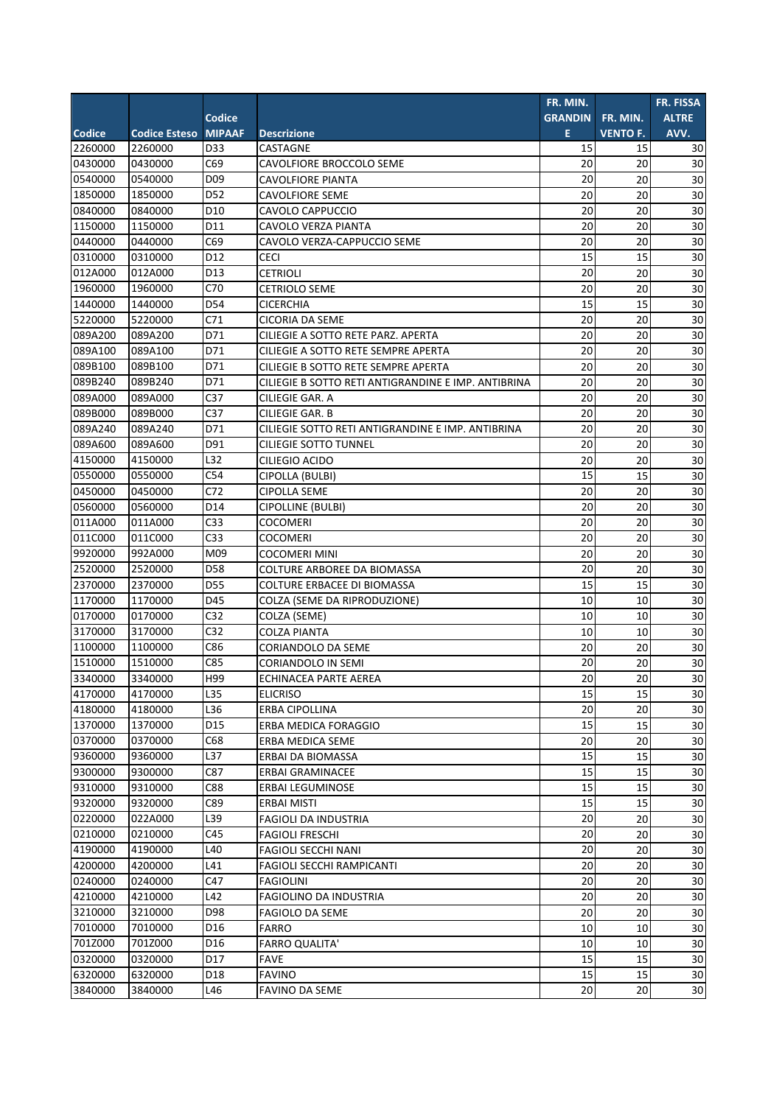|         |                      |                 |                                                     | FR. MIN.       |                 | FR. FISSA       |
|---------|----------------------|-----------------|-----------------------------------------------------|----------------|-----------------|-----------------|
|         |                      | <b>Codice</b>   |                                                     | <b>GRANDIN</b> | FR. MIN.        | <b>ALTRE</b>    |
| Codice  | <b>Codice Esteso</b> | <b>MIPAAF</b>   | <b>Descrizione</b>                                  | Ε              | <b>VENTO F.</b> | AVV.            |
| 2260000 | 2260000              | D33             | CASTAGNE                                            | 15             | 15              | 30              |
| 0430000 | 0430000              | C69             | CAVOLFIORE BROCCOLO SEME                            | 20             | 20              | 30              |
| 0540000 | 0540000              | D <sub>09</sub> | <b>CAVOLFIORE PIANTA</b>                            | 20             | 20              | 30              |
| 1850000 | 1850000              | D52             | CAVOLFIORE SEME                                     | 20             | 20              | 30              |
| 0840000 | 0840000              | D10             | CAVOLO CAPPUCCIO                                    | 20             | 20              | 30              |
| 1150000 | 1150000              | D11             | CAVOLO VERZA PIANTA                                 | 20             | 20              | 30              |
| 0440000 | 0440000              | C69             | CAVOLO VERZA-CAPPUCCIO SEME                         | 20             | 20              | 30              |
| 0310000 | 0310000              | D12             | <b>CECI</b>                                         | 15             | 15              | 30              |
| 012A000 | 012A000              | D13             | CETRIOLI                                            | 20             | 20              | 30              |
| 1960000 | 1960000              | C70             | CETRIOLO SEME                                       | 20             | 20              | 30              |
| 1440000 | 1440000              | D54             | <b>CICERCHIA</b>                                    | 15             | 15              | 30              |
| 5220000 | 5220000              | C71             | <b>CICORIA DA SEME</b>                              | 20             | 20              | 30              |
| 089A200 | 089A200              | D71             | CILIEGIE A SOTTO RETE PARZ. APERTA                  | 20             | 20              | 30              |
| 089A100 | 089A100              | D71             | CILIEGIE A SOTTO RETE SEMPRE APERTA                 | 20             | 20              | 30              |
| 089B100 | 089B100              | D71             | CILIEGIE B SOTTO RETE SEMPRE APERTA                 | 20             | 20              | 30              |
| 089B240 | 089B240              | D71             | CILIEGIE B SOTTO RETI ANTIGRANDINE E IMP. ANTIBRINA | 20             | 20              | 30              |
| 089A000 | 089A000              | C <sub>37</sub> | CILIEGIE GAR. A                                     | 20             | 20              | 30              |
| 089B000 | 089B000              | C <sub>37</sub> | CILIEGIE GAR. B                                     | 20             | 20              | 30              |
| 089A240 | 089A240              | D71             | CILIEGIE SOTTO RETI ANTIGRANDINE E IMP. ANTIBRINA   | 20             | 20              | 30              |
| 089A600 | 089A600              | D91             | CILIEGIE SOTTO TUNNEL                               | 20             | 20              | 30              |
| 4150000 | 4150000              | L32             | CILIEGIO ACIDO                                      | 20             | 20              | 30              |
| 0550000 | 0550000              | C54             | CIPOLLA (BULBI)                                     | 15             | 15              | 30              |
| 0450000 | 0450000              | C72             | <b>CIPOLLA SEME</b>                                 | 20             | 20              | 30              |
| 0560000 | 0560000              | D14             | <b>CIPOLLINE (BULBI)</b>                            | 20             | 20              | 30              |
| 011A000 | 011A000              | C <sub>33</sub> | <b>COCOMERI</b>                                     | 20             | 20              | 30              |
| 011C000 | 011C000              | C <sub>33</sub> | <b>COCOMERI</b>                                     | 20             | 20              | 30              |
| 9920000 | 992A000              | M09             | <b>COCOMERI MINI</b>                                | 20             | 20              | 30              |
| 2520000 | 2520000              | D58             | <b>COLTURE ARBOREE DA BIOMASSA</b>                  | 20             | 20              | 30              |
| 2370000 | 2370000              | D55             | COLTURE ERBACEE DI BIOMASSA                         | 15             | 15              | 30              |
| 1170000 | 1170000              | D45             | COLZA (SEME DA RIPRODUZIONE)                        | 10             | 10              | 30              |
| 0170000 | 0170000              | C <sub>32</sub> | COLZA (SEME)                                        | 10             | 10              | 30              |
| 3170000 | 3170000              | C <sub>32</sub> | <b>COLZA PIANTA</b>                                 | 10             | 10              | 30              |
| 1100000 | 1100000              | C86             | <b>CORIANDOLO DA SEME</b>                           | 20             | 20              | 30              |
| 1510000 | 1510000              | C85             | CORIANDOLO IN SEMI                                  | 20             | 20              | 30              |
| 3340000 | 3340000              | H99             | ECHINACEA PARTE AEREA                               | 20             | 20              | 30              |
| 4170000 | 4170000              | L35             | <b>ELICRISO</b>                                     | 15             | 15              | 30              |
| 4180000 | 4180000              | L36             | <b>ERBA CIPOLLINA</b>                               | 20             | 20              | 30              |
| 1370000 | 1370000              | D <sub>15</sub> | ERBA MEDICA FORAGGIO                                | 15             | 15              | 30              |
| 0370000 | 0370000              | C68             | ERBA MEDICA SEME                                    | 20             | 20              | 30              |
| 9360000 | 9360000              | L37             | ERBAI DA BIOMASSA                                   | 15             | 15              | 30              |
| 9300000 | 9300000              | C87             | ERBAI GRAMINACEE                                    | 15             | 15              | 30              |
| 9310000 | 9310000              | C88             | ERBAI LEGUMINOSE                                    | 15             | 15              | 30              |
| 9320000 | 9320000              | C89             | ERBAI MISTI                                         | 15             | 15              | 30              |
| 0220000 | 022A000              | L39             | <b>FAGIOLI DA INDUSTRIA</b>                         | 20             | 20              | 30              |
| 0210000 | 0210000              | C45             | <b>FAGIOLI FRESCHI</b>                              | 20             | 20              | 30              |
| 4190000 | 4190000              | L40             | FAGIOLI SECCHI NANI                                 | 20             | 20              | 30              |
| 4200000 | 4200000              | L41             | FAGIOLI SECCHI RAMPICANTI                           | 20             | 20              | 30              |
| 0240000 | 0240000              | C47             | <b>FAGIOLINI</b>                                    | 20             | 20              | 30              |
| 4210000 | 4210000              | L42             | FAGIOLINO DA INDUSTRIA                              | 20             | 20              | 30              |
| 3210000 | 3210000              | D98             | FAGIOLO DA SEME                                     | 20             | 20              | 30              |
| 7010000 | 7010000              | D16             | <b>FARRO</b>                                        | 10             | 10              | 30              |
| 701Z000 | 701Z000              | D16             | <b>FARRO QUALITA'</b>                               | 10             | 10              | 30              |
| 0320000 | 0320000              | D17             | FAVE                                                | 15             | 15              | 30              |
| 6320000 | 6320000              | D18             | FAVINO                                              | 15             | 15              | 30              |
| 3840000 | 3840000              | L46             | FAVINO DA SEME                                      | 20             | 20              | 30 <sup>°</sup> |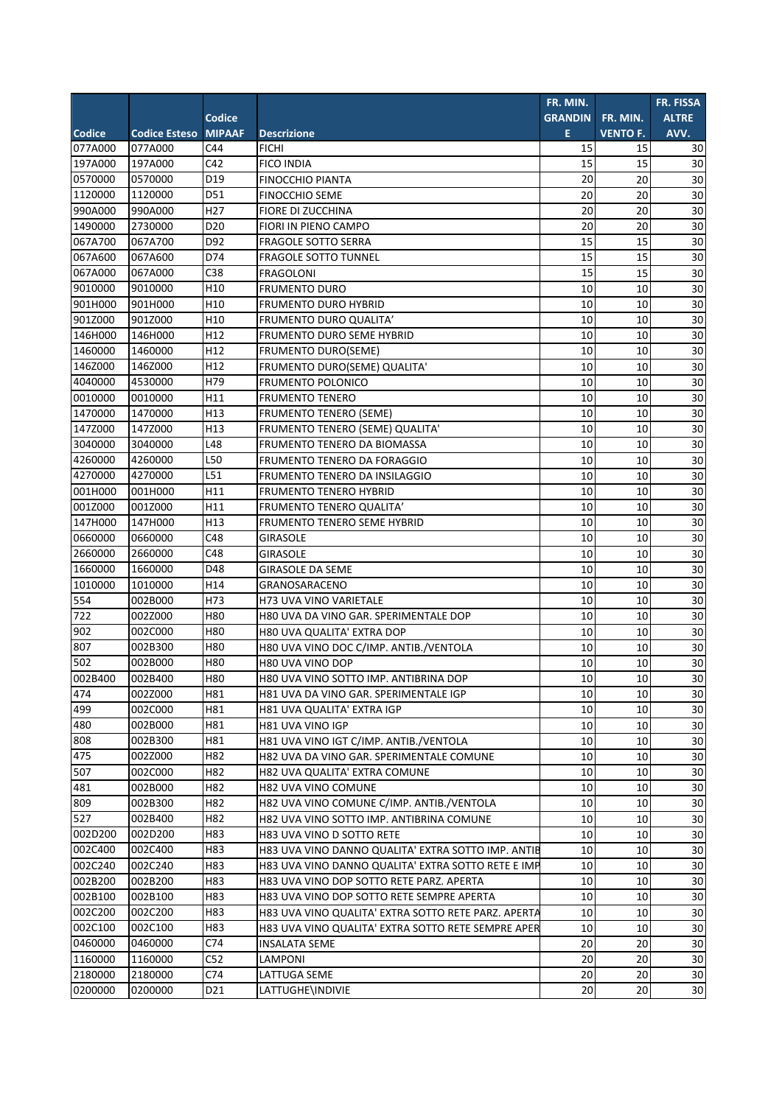|                  |                      |                 |                                                     | FR. MIN.       |                 | FR. FISSA       |
|------------------|----------------------|-----------------|-----------------------------------------------------|----------------|-----------------|-----------------|
|                  |                      | Codice          |                                                     | <b>GRANDIN</b> | FR. MIN.        | <b>ALTRE</b>    |
| Codice           | <b>Codice Esteso</b> | <b>MIPAAF</b>   | <b>Descrizione</b>                                  | E.             | <b>VENTO F.</b> | AVV.            |
| 077A000          | 077A000              | C44             | <b>FICHI</b>                                        | 15             | 15              | 30              |
| 197A000          | 197A000              | C42             | <b>FICO INDIA</b>                                   | 15             | 15              | 30              |
| 0570000          | 0570000              | D19             | <b>FINOCCHIO PIANTA</b>                             | 20             | 20              | 30              |
| 1120000          | 1120000              | D51             | <b>FINOCCHIO SEME</b>                               | 20             | 20              | 30              |
| 990A000          | 990A000              | H <sub>27</sub> | FIORE DI ZUCCHINA                                   | 20             | 20              | 30              |
| 1490000          | 2730000              | D <sub>20</sub> | FIORI IN PIENO CAMPO                                | 20             | 20              | 30              |
| 067A700          | 067A700              | D92             | <b>FRAGOLE SOTTO SERRA</b>                          | 15             | 15              | 30              |
| 067A600          | 067A600              | D74             | <b>FRAGOLE SOTTO TUNNEL</b>                         | 15             | 15              | $\overline{30}$ |
| 067A000          | 067A000              | C38             | <b>FRAGOLONI</b>                                    | 15             | 15              | 30              |
| 9010000          | 9010000              | H10             | <b>FRUMENTO DURO</b>                                | 10             | 10              | 30              |
| 901H000          | 901H000              | H10             | <b>FRUMENTO DURO HYBRID</b>                         | 10             | 10              | 30              |
| 901Z000          | 901Z000              | H10             | FRUMENTO DURO QUALITA'                              | 10             | 10              | 30              |
| 146H000          | 146H000              | H12             | FRUMENTO DURO SEME HYBRID                           | 10             | 10              | 30              |
| 1460000          | 1460000              | H12             | <b>FRUMENTO DURO(SEME)</b>                          | 10             | 10              | 30              |
| 146Z000          | 146Z000              | H12             | FRUMENTO DURO(SEME) QUALITA'                        | 10             | 10              | 30              |
| 4040000          | 4530000              | H79             | <b>FRUMENTO POLONICO</b>                            | 10             | 10              | 30              |
| 0010000          | 0010000              | H11             | <b>FRUMENTO TENERO</b>                              | 10             | 10              | 30              |
| 1470000          | 1470000              | H13             | <b>FRUMENTO TENERO (SEME)</b>                       | 10             | 10              | 30              |
| 147Z000          | 147Z000              | H13             | FRUMENTO TENERO (SEME) QUALITA'                     | 10             | 10              | 30              |
| 3040000          | 3040000              | L48             | FRUMENTO TENERO DA BIOMASSA                         | 10             | 10              | 30              |
| 4260000          | 4260000              | L50             | FRUMENTO TENERO DA FORAGGIO                         | 10             | 10              | 30              |
| 4270000          | 4270000              | L51             | FRUMENTO TENERO DA INSILAGGIO                       | 10             | 10              | 30              |
| 001H000          | 001H000              | H11             | <b>FRUMENTO TENERO HYBRID</b>                       | 10             | 10              | 30              |
| 001Z000          | 001Z000              | H11             | <b>FRUMENTO TENERO QUALITA'</b>                     | 10             | 10              | 30              |
| 147H000          | 147H000              | H13             | FRUMENTO TENERO SEME HYBRID                         | 10             | 10              | 30              |
| 0660000          | 0660000              | C48             | <b>GIRASOLE</b>                                     | 10             | 10              | 30              |
| 2660000          | 2660000              | C48             | <b>GIRASOLE</b>                                     | 10             | 10              | 30              |
| 1660000          | 1660000              | D48             | <b>GIRASOLE DA SEME</b>                             | 10             | 10              | 30              |
| 1010000          | 1010000              | H14             | GRANOSARACENO                                       | 10             | 10              | 30              |
| 554              | 002B000              | H73             | H73 UVA VINO VARIETALE                              | 10             | 10              | 30              |
| $\overline{722}$ | 002Z000              | H80             | H80 UVA DA VINO GAR. SPERIMENTALE DOP               | 10             | 10              | 30              |
| 902              | 002C000              | H80             | H80 UVA QUALITA' EXTRA DOP                          | 10             | 10              | 30              |
| 807              | 002B300              | H80             | H80 UVA VINO DOC C/IMP. ANTIB./VENTOLA              | 10             | 10              | 30              |
| 502              | 002B000              | H80             | H80 UVA VINO DOP                                    | 10             | 10              | 30              |
| 002B400          | 002B400              | <b>H80</b>      | H80 UVA VINO SOTTO IMP. ANTIBRINA DOP               | 10             | 10              | 30              |
| $\overline{474}$ | 002Z000              | H81             | H81 UVA DA VINO GAR. SPERIMENTALE IGP               | 10             | 10              | 30              |
| 499              | 002C000              | H81             | H81 UVA QUALITA' EXTRA IGP                          | 10             | 10              | 30              |
| 480              | 002B000              | H81             | H81 UVA VINO IGP                                    | 10             | 10              | 30              |
| 808              | 002B300              | H81             | H81 UVA VINO IGT C/IMP. ANTIB./VENTOLA              | 10             | 10              | 30              |
| 475              | 002Z000              | H82             | H82 UVA DA VINO GAR. SPERIMENTALE COMUNE            | 10             | 10              | 30              |
| 507              | 002C000              | H82             | H82 UVA QUALITA' EXTRA COMUNE                       | 10             | 10              | 30              |
| 481              | 002B000              | H82             | H82 UVA VINO COMUNE                                 | 10             | 10              | 30              |
| 809              | 002B300              | H82             | H82 UVA VINO COMUNE C/IMP. ANTIB./VENTOLA           | 10             | 10              | 30              |
| 527              | 002B400              | H82             | H82 UVA VINO SOTTO IMP. ANTIBRINA COMUNE            | 10             | 10              | 30              |
| 002D200          | 002D200              | H83             | H83 UVA VINO D SOTTO RETE                           | 10             | 10              | $30\,$          |
| 002C400          | 002C400              | H83             | H83 UVA VINO DANNO QUALITA' EXTRA SOTTO IMP. ANTIE  | 10             | 10              | $30\,$          |
| 002C240          | 002C240              | H83             | H83 UVA VINO DANNO QUALITA' EXTRA SOTTO RETE E IMP  | 10             | 10              | $30\,$          |
| 002B200          | 002B200              | H83             | H83 UVA VINO DOP SOTTO RETE PARZ. APERTA            | 10             | 10              | 30              |
| 002B100          | 002B100              | H83             | H83 UVA VINO DOP SOTTO RETE SEMPRE APERTA           | 10             | 10              | 30              |
| 002C200          | 002C200              | H83             | H83 UVA VINO QUALITA' EXTRA SOTTO RETE PARZ. APERTA | 10             | 10              | 30              |
| 002C100          | 002C100              | H83             | H83 UVA VINO QUALITA' EXTRA SOTTO RETE SEMPRE APER  | 10             | 10              | 30              |
| 0460000          | 0460000              | C74             | INSALATA SEME                                       | 20             | 20              | 30              |
| 1160000          | 1160000              | C52             | LAMPONI                                             | 20             | 20              | 30              |
| 2180000          | 2180000              | C74             | LATTUGA SEME                                        | 20             | 20              | 30              |
| 0200000          | 0200000              | D21             | LATTUGHE\INDIVIE                                    | 20             | 20              | 30              |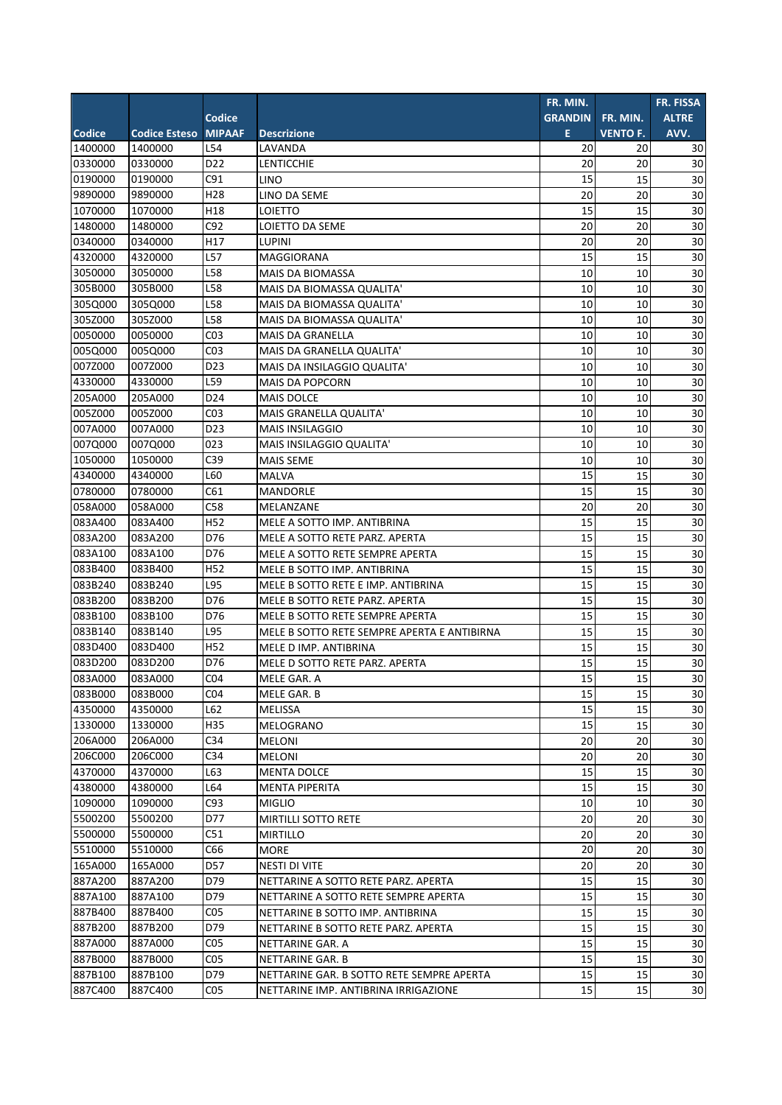|               |                      |                 |                                             | FR. MIN.       |                 | <b>FR. FISSA</b> |
|---------------|----------------------|-----------------|---------------------------------------------|----------------|-----------------|------------------|
|               |                      | Codice          |                                             | <b>GRANDIN</b> | FR. MIN.        | <b>ALTRE</b>     |
| <b>Codice</b> | <b>Codice Esteso</b> | <b>MIPAAF</b>   | <b>Descrizione</b>                          | E.             | <b>VENTO F.</b> | AVV.             |
| 1400000       | 1400000              | L54             | LAVANDA                                     | 20             | 20              | 30               |
| 0330000       | 0330000              | D <sub>22</sub> | LENTICCHIE                                  | 20             | 20              | 30               |
| 0190000       | 0190000              | C91             | LINO                                        | 15             | 15              | 30               |
| 9890000       | 9890000              | H <sub>28</sub> | LINO DA SEME                                | 20             | 20              | 30               |
| 1070000       | 1070000              | H18             | LOIETTO                                     | 15             | 15              | 30               |
| 1480000       | 1480000              | C92             | LOIETTO DA SEME                             | 20             | 20              | 30               |
| 0340000       | 0340000              | H17             | <b>LUPINI</b>                               | 20             | 20              | 30               |
| 4320000       | 4320000              | L57             | MAGGIORANA                                  | 15             | 15              | 30               |
| 3050000       | 3050000              | L58             | <b>MAIS DA BIOMASSA</b>                     | 10             | 10              | 30               |
| 305B000       | 305B000              | L58             | MAIS DA BIOMASSA QUALITA'                   | 10             | 10              | 30               |
| 305Q000       | 305Q000              | L58             | MAIS DA BIOMASSA QUALITA'                   | 10             | 10              | 30               |
| 305Z000       | 305Z000              | L58             | MAIS DA BIOMASSA QUALITA'                   | 10             | 10              | 30               |
| 0050000       | 0050000              | CO <sub>3</sub> | <b>MAIS DA GRANELLA</b>                     | 10             | 10              | 30               |
| 005Q000       | 005Q000              | CO <sub>3</sub> | MAIS DA GRANELLA QUALITA'                   | 10             | 10              | 30               |
| 007Z000       | 007Z000              | D <sub>23</sub> | MAIS DA INSILAGGIO QUALITA'                 | 10             | 10              | 30               |
| 4330000       | 4330000              | L59             | <b>MAIS DA POPCORN</b>                      | 10             | 10              | 30               |
| 205A000       | 205A000              | D <sub>24</sub> | <b>MAIS DOLCE</b>                           | 10             | 10              | 30               |
| 005Z000       | 005Z000              | CO <sub>3</sub> | MAIS GRANELLA QUALITA'                      | 10             | 10              | 30               |
| 007A000       | 007A000              | D <sub>23</sub> | <b>MAIS INSILAGGIO</b>                      | 10             | 10              | 30               |
| 007Q000       | 007Q000              | 023             | MAIS INSILAGGIO QUALITA'                    | 10             | 10              | 30               |
| 1050000       | 1050000              | C39             | <b>MAIS SEME</b>                            | 10             | 10              | 30               |
| 4340000       | 4340000              | L60             | <b>MALVA</b>                                | 15             | 15              | 30               |
| 0780000       | 0780000              | C61             | <b>MANDORLE</b>                             | 15             | 15              | 30               |
| 058A000       | 058A000              | C58             | MELANZANE                                   | 20             | 20              | 30               |
| 083A400       | 083A400              | H <sub>52</sub> | MELE A SOTTO IMP. ANTIBRINA                 | 15             | 15              | 30               |
| 083A200       | 083A200              | D76             | MELE A SOTTO RETE PARZ. APERTA              | 15             | 15              | 30               |
| 083A100       | 083A100              | D76             | MELE A SOTTO RETE SEMPRE APERTA             | 15             | 15              | 30               |
| 083B400       | 083B400              | H <sub>52</sub> | MELE B SOTTO IMP. ANTIBRINA                 | 15             | 15              | 30               |
| 083B240       | 083B240              | L95             | MELE B SOTTO RETE E IMP. ANTIBRINA          | 15             | 15              | 30               |
| 083B200       | 083B200              | D76             | MELE B SOTTO RETE PARZ. APERTA              | 15             | 15              | 30               |
| 083B100       | 083B100              | D76             | MELE B SOTTO RETE SEMPRE APERTA             | 15             | 15              | 30               |
| 083B140       | 083B140              | L95             | MELE B SOTTO RETE SEMPRE APERTA E ANTIBIRNA | 15             | 15              | 30               |
| 083D400       | 083D400              | H <sub>52</sub> | MELE D IMP. ANTIBRINA                       | 15             | 15              | 30               |
| 083D200       | 083D200              | D76             | MELE D SOTTO RETE PARZ, APERTA              | 15             | 15              | 30               |
| 083A000       | 083A000              | CO <sub>4</sub> | MELE GAR. A                                 | 15             | 15              | 30               |
| 083B000       | 083B000              | CO <sub>4</sub> | MELE GAR. B                                 | 15             | 15              | 30               |
| 4350000       | 4350000              | L62             | MELISSA                                     | 15             | 15              | 30               |
| 1330000       | 1330000              | H35             | MELOGRANO                                   | 15             | 15              | 30               |
| 206A000       | 206A000              | C <sub>34</sub> | MELONI                                      | 20             | 20              | 30               |
| 206C000       | 206C000              | C34             | MELONI                                      | 20             | 20              | 30               |
| 4370000       | 4370000              | L63             | <b>MENTA DOLCE</b>                          | 15             | 15              | 30               |
| 4380000       | 4380000              | L64             | <b>MENTA PIPERITA</b>                       | 15             | 15              | 30               |
| 1090000       | 1090000              | C93             | <b>MIGLIO</b>                               | 10             | 10              | 30               |
| 5500200       | 5500200              | D77             | <b>MIRTILLI SOTTO RETE</b>                  | 20             | 20              | 30               |
| 5500000       | 5500000              | C51             | <b>MIRTILLO</b>                             | 20             | 20              | 30               |
| 5510000       | 5510000              | C66             | MORE                                        | 20             | 20              | 30               |
| 165A000       | 165A000              | D57             | NESTI DI VITE                               | 20             | 20              | 30               |
| 887A200       | 887A200              | D79             | NETTARINE A SOTTO RETE PARZ. APERTA         | 15             | 15              | 30               |
| 887A100       | 887A100              | D79             | NETTARINE A SOTTO RETE SEMPRE APERTA        | 15             | 15              | 30               |
| 887B400       | 887B400              | CO <sub>5</sub> | NETTARINE B SOTTO IMP. ANTIBRINA            | 15             | 15              | 30               |
| 887B200       | 887B200              | D79             | NETTARINE B SOTTO RETE PARZ. APERTA         | 15             | 15              | 30               |
| 887A000       | 887A000              | CO <sub>5</sub> | NETTARINE GAR. A                            | 15             | 15              | 30               |
| 887B000       | 887B000              | CO <sub>5</sub> | NETTARINE GAR. B                            | 15             | 15              | 30               |
| 887B100       | 887B100              | D79             | NETTARINE GAR. B SOTTO RETE SEMPRE APERTA   | 15             | 15              | 30               |
| 887C400       | 887C400              | CO <sub>5</sub> | NETTARINE IMP. ANTIBRINA IRRIGAZIONE        | 15             | 15              | 30               |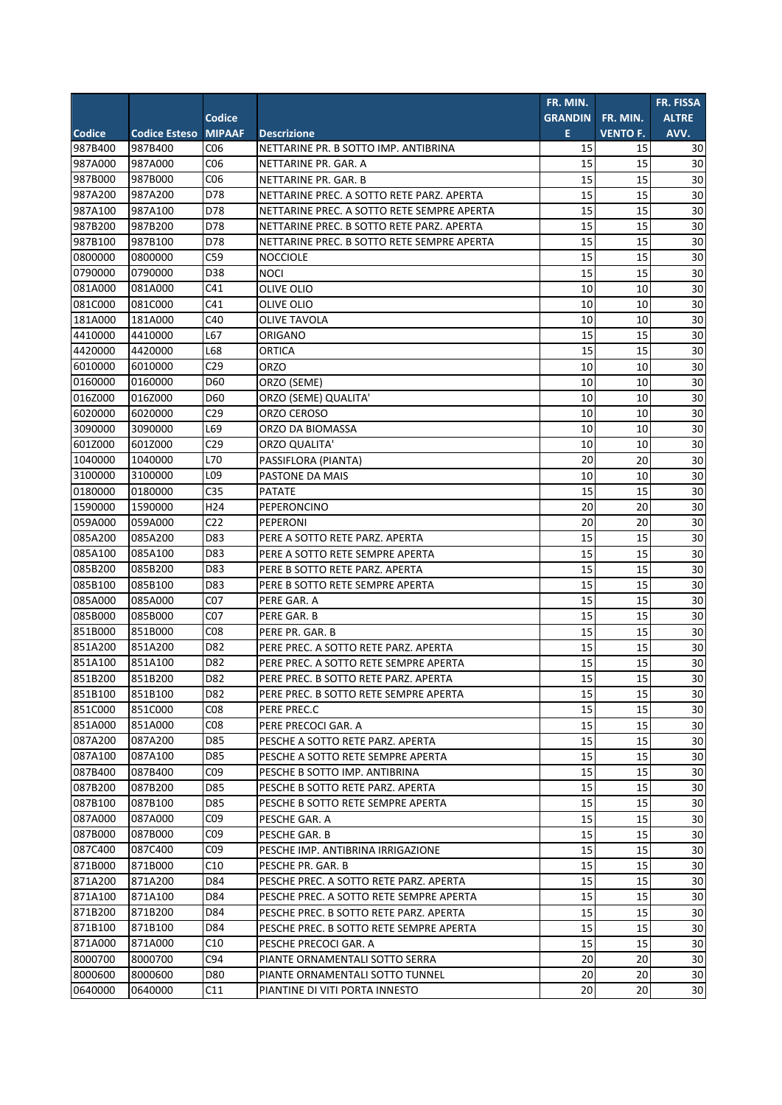| <b>Codice</b><br><b>GRANDIN</b><br><b>ALTRE</b><br>FR. MIN.<br><b>MIPAAF</b><br><b>Codice Esteso</b><br><b>Descrizione</b><br>E<br><b>VENTO F.</b><br>AVV.<br>987B400<br>C <sub>06</sub><br>15<br>NETTARINE PR. B SOTTO IMP. ANTIBRINA<br>15<br>30<br>CO6<br>15<br>15<br>30<br>987A000<br>NETTARINE PR. GAR. A<br>CO6<br>30<br>987B000<br>15<br>15<br>NETTARINE PR. GAR. B<br>D78<br>15<br>30<br>15<br>987A200<br>NETTARINE PREC. A SOTTO RETE PARZ. APERTA<br>15<br>30<br>D78<br>15<br>987A100<br>NETTARINE PREC. A SOTTO RETE SEMPRE APERTA<br>987B200<br>D78<br>15<br>15<br>30<br>987B200<br>NETTARINE PREC. B SOTTO RETE PARZ. APERTA<br>987B100<br>D78<br>15<br>15<br>30<br>987B100<br>NETTARINE PREC. B SOTTO RETE SEMPRE APERTA<br>0800000<br>15<br>15<br>30<br>C59<br>0800000<br><b>NOCCIOLE</b><br>15<br>0790000<br>D38<br>15<br>30<br>0790000<br><b>NOCI</b><br>081A000<br>C41<br>10<br>30<br>081A000<br>10<br>OLIVE OLIO<br>081C000<br>30<br>C41<br>10<br>10<br>081C000<br>OLIVE OLIO<br>181A000<br>C40<br>10<br>30<br>181A000<br><b>OLIVE TAVOLA</b><br>10<br>4410000<br>15<br>L67<br>15<br>30<br>4410000<br>ORIGANO<br>4420000<br>15<br>L68<br>15<br>30<br>4420000<br><b>ORTICA</b><br>10<br>10<br>30<br>6010000<br>C <sub>29</sub><br><b>ORZO</b><br>6010000<br>0160000<br>D60<br>10<br>30<br>0160000<br>ORZO (SEME)<br>10<br>016Z000<br>D60<br>10<br>10<br>30<br>016Z000<br>ORZO (SEME) QUALITA'<br>6020000<br>C <sub>29</sub><br>10<br>ORZO CEROSO<br>10<br>30<br>6020000<br>3090000<br>10<br>30<br>L69<br>10<br>3090000<br>ORZO DA BIOMASSA<br>601Z000<br>C <sub>29</sub><br>10<br>10<br>30<br>601Z000<br>ORZO QUALITA'<br>1040000<br>L70<br>20<br>1040000<br>20<br>30<br>PASSIFLORA (PIANTA)<br>3100000<br>L09<br>10<br>10<br>30<br>3100000<br>PASTONE DA MAIS<br>0180000<br>C <sub>35</sub><br>15<br>15<br>0180000<br>30<br><b>PATATE</b><br>1590000<br>H <sub>24</sub><br>20<br>1590000<br>20<br>30<br>PEPERONCINO<br>059A000<br>C <sub>22</sub><br>20<br>20<br>30<br>059A000<br>PEPERONI<br>085A200<br>085A200<br>D83<br>15<br>15<br>30<br>PERE A SOTTO RETE PARZ. APERTA<br>085A100<br>085A100<br>D83<br>15<br>15<br>30<br>PERE A SOTTO RETE SEMPRE APERTA<br>$1\overline{5}$<br>30<br>085B200<br>15<br>085B200<br>D83<br>PERE B SOTTO RETE PARZ. APERTA<br>085B100<br>085B100<br>D83<br>15<br>15<br>30<br>PERE B SOTTO RETE SEMPRE APERTA<br>085A000<br>085A000<br>C07<br>15<br>15<br>30<br>PERE GAR. A<br>085B000<br>085B000<br>C07<br>15<br>15<br>30<br>PERE GAR. B<br>15<br>15<br>30<br>851B000<br>851B000<br>CO8<br>PERE PR. GAR. B<br>D82<br>30<br>851A200<br>851A200<br>15<br>15<br>PERE PREC. A SOTTO RETE PARZ. APERTA<br>851A100<br>851A100<br>D82<br>15<br>30<br>15<br>PERE PREC. A SOTTO RETE SEMPRE APERTA<br>851B200<br>15<br>15<br>30<br>D82<br>851B200<br>PERE PREC. B SOTTO RETE PARZ. APERTA<br>851B100<br>851B100<br>D82<br>15<br>15<br>30<br>PERE PREC. B SOTTO RETE SEMPRE APERTA<br>15<br>851C000<br>851C000<br>CO <sub>8</sub><br>15<br>30<br>PERE PREC.C<br>30<br>851A000<br>851A000<br>C <sub>08</sub><br>15<br>15<br>PERE PRECOCI GAR. A<br>087A200<br>D85<br>30<br>087A200<br>15<br>15<br>PESCHE A SOTTO RETE PARZ. APERTA<br>087A100<br>D85<br>15<br>30<br>087A100<br>PESCHE A SOTTO RETE SEMPRE APERTA<br>15<br>30<br>087B400<br>C09<br>15<br>15<br>087B400<br>PESCHE B SOTTO IMP. ANTIBRINA<br>087B200<br>D85<br>15<br>15<br>30<br>087B200<br>PESCHE B SOTTO RETE PARZ. APERTA<br>15<br>087B100<br>087B100<br>D85<br>15<br>30<br>PESCHE B SOTTO RETE SEMPRE APERTA<br>087A000<br>087A000<br>CO9<br>15<br>15<br>30<br>PESCHE GAR. A<br>15<br>15<br>30<br>087B000<br>087B000<br>CO9<br>PESCHE GAR. B<br>087C400<br>CO9<br>087C400<br>15<br>15<br>30<br>PESCHE IMP. ANTIBRINA IRRIGAZIONE<br>871B000<br>871B000<br>C10<br>15<br>15<br>30<br>PESCHE PR. GAR. B<br>15<br>15<br>30<br>871A200<br>D84<br>871A200<br>PESCHE PREC. A SOTTO RETE PARZ. APERTA<br>871A100<br>D84<br>15<br>15<br>30<br>871A100<br>PESCHE PREC. A SOTTO RETE SEMPRE APERTA<br>871B200<br>D84<br>15<br>15<br>30<br>871B200<br>PESCHE PREC. B SOTTO RETE PARZ. APERTA<br>15<br>15<br>30<br>871B100<br>871B100<br>D84<br>PESCHE PREC. B SOTTO RETE SEMPRE APERTA<br>15<br>30<br>871A000<br>871A000<br>C10<br>15<br>PESCHE PRECOCI GAR. A<br>8000700<br>C94<br>20<br>20<br>30<br>8000700<br>PIANTE ORNAMENTALI SOTTO SERRA<br>20<br>8000600<br>8000600<br>D80<br>20<br>30<br>PIANTE ORNAMENTALI SOTTO TUNNEL<br>30<br>PIANTINE DI VITI PORTA INNESTO<br>20<br>20<br>0640000<br>C11 |               |  | FR. MIN. | FR. FISSA |
|-------------------------------------------------------------------------------------------------------------------------------------------------------------------------------------------------------------------------------------------------------------------------------------------------------------------------------------------------------------------------------------------------------------------------------------------------------------------------------------------------------------------------------------------------------------------------------------------------------------------------------------------------------------------------------------------------------------------------------------------------------------------------------------------------------------------------------------------------------------------------------------------------------------------------------------------------------------------------------------------------------------------------------------------------------------------------------------------------------------------------------------------------------------------------------------------------------------------------------------------------------------------------------------------------------------------------------------------------------------------------------------------------------------------------------------------------------------------------------------------------------------------------------------------------------------------------------------------------------------------------------------------------------------------------------------------------------------------------------------------------------------------------------------------------------------------------------------------------------------------------------------------------------------------------------------------------------------------------------------------------------------------------------------------------------------------------------------------------------------------------------------------------------------------------------------------------------------------------------------------------------------------------------------------------------------------------------------------------------------------------------------------------------------------------------------------------------------------------------------------------------------------------------------------------------------------------------------------------------------------------------------------------------------------------------------------------------------------------------------------------------------------------------------------------------------------------------------------------------------------------------------------------------------------------------------------------------------------------------------------------------------------------------------------------------------------------------------------------------------------------------------------------------------------------------------------------------------------------------------------------------------------------------------------------------------------------------------------------------------------------------------------------------------------------------------------------------------------------------------------------------------------------------------------------------------------------------------------------------------------------------------------------------------------------------------------------------------------------------------------------------------------------------------------------------------------------------------------------------------------------------------------------------------------------------------------------------------------------------------------------------------------------------------------------------------------------------------------------------------------------------------------------------------------------------------------------------------------------------------------------------------------------------------------------------------------------------------------------------------------------------------------------------------------------------------------------------------------------------------------------------|---------------|--|----------|-----------|
|                                                                                                                                                                                                                                                                                                                                                                                                                                                                                                                                                                                                                                                                                                                                                                                                                                                                                                                                                                                                                                                                                                                                                                                                                                                                                                                                                                                                                                                                                                                                                                                                                                                                                                                                                                                                                                                                                                                                                                                                                                                                                                                                                                                                                                                                                                                                                                                                                                                                                                                                                                                                                                                                                                                                                                                                                                                                                                                                                                                                                                                                                                                                                                                                                                                                                                                                                                                                                                                                                                                                                                                                                                                                                                                                                                                                                                                                                                                                                                                                                                                                                                                                                                                                                                                                                                                                                                                                                                                                                                       |               |  |          |           |
|                                                                                                                                                                                                                                                                                                                                                                                                                                                                                                                                                                                                                                                                                                                                                                                                                                                                                                                                                                                                                                                                                                                                                                                                                                                                                                                                                                                                                                                                                                                                                                                                                                                                                                                                                                                                                                                                                                                                                                                                                                                                                                                                                                                                                                                                                                                                                                                                                                                                                                                                                                                                                                                                                                                                                                                                                                                                                                                                                                                                                                                                                                                                                                                                                                                                                                                                                                                                                                                                                                                                                                                                                                                                                                                                                                                                                                                                                                                                                                                                                                                                                                                                                                                                                                                                                                                                                                                                                                                                                                       | <b>Codice</b> |  |          |           |
|                                                                                                                                                                                                                                                                                                                                                                                                                                                                                                                                                                                                                                                                                                                                                                                                                                                                                                                                                                                                                                                                                                                                                                                                                                                                                                                                                                                                                                                                                                                                                                                                                                                                                                                                                                                                                                                                                                                                                                                                                                                                                                                                                                                                                                                                                                                                                                                                                                                                                                                                                                                                                                                                                                                                                                                                                                                                                                                                                                                                                                                                                                                                                                                                                                                                                                                                                                                                                                                                                                                                                                                                                                                                                                                                                                                                                                                                                                                                                                                                                                                                                                                                                                                                                                                                                                                                                                                                                                                                                                       | 987B400       |  |          |           |
|                                                                                                                                                                                                                                                                                                                                                                                                                                                                                                                                                                                                                                                                                                                                                                                                                                                                                                                                                                                                                                                                                                                                                                                                                                                                                                                                                                                                                                                                                                                                                                                                                                                                                                                                                                                                                                                                                                                                                                                                                                                                                                                                                                                                                                                                                                                                                                                                                                                                                                                                                                                                                                                                                                                                                                                                                                                                                                                                                                                                                                                                                                                                                                                                                                                                                                                                                                                                                                                                                                                                                                                                                                                                                                                                                                                                                                                                                                                                                                                                                                                                                                                                                                                                                                                                                                                                                                                                                                                                                                       | 987A000       |  |          |           |
|                                                                                                                                                                                                                                                                                                                                                                                                                                                                                                                                                                                                                                                                                                                                                                                                                                                                                                                                                                                                                                                                                                                                                                                                                                                                                                                                                                                                                                                                                                                                                                                                                                                                                                                                                                                                                                                                                                                                                                                                                                                                                                                                                                                                                                                                                                                                                                                                                                                                                                                                                                                                                                                                                                                                                                                                                                                                                                                                                                                                                                                                                                                                                                                                                                                                                                                                                                                                                                                                                                                                                                                                                                                                                                                                                                                                                                                                                                                                                                                                                                                                                                                                                                                                                                                                                                                                                                                                                                                                                                       | 987B000       |  |          |           |
|                                                                                                                                                                                                                                                                                                                                                                                                                                                                                                                                                                                                                                                                                                                                                                                                                                                                                                                                                                                                                                                                                                                                                                                                                                                                                                                                                                                                                                                                                                                                                                                                                                                                                                                                                                                                                                                                                                                                                                                                                                                                                                                                                                                                                                                                                                                                                                                                                                                                                                                                                                                                                                                                                                                                                                                                                                                                                                                                                                                                                                                                                                                                                                                                                                                                                                                                                                                                                                                                                                                                                                                                                                                                                                                                                                                                                                                                                                                                                                                                                                                                                                                                                                                                                                                                                                                                                                                                                                                                                                       | 987A200       |  |          |           |
|                                                                                                                                                                                                                                                                                                                                                                                                                                                                                                                                                                                                                                                                                                                                                                                                                                                                                                                                                                                                                                                                                                                                                                                                                                                                                                                                                                                                                                                                                                                                                                                                                                                                                                                                                                                                                                                                                                                                                                                                                                                                                                                                                                                                                                                                                                                                                                                                                                                                                                                                                                                                                                                                                                                                                                                                                                                                                                                                                                                                                                                                                                                                                                                                                                                                                                                                                                                                                                                                                                                                                                                                                                                                                                                                                                                                                                                                                                                                                                                                                                                                                                                                                                                                                                                                                                                                                                                                                                                                                                       | 987A100       |  |          |           |
|                                                                                                                                                                                                                                                                                                                                                                                                                                                                                                                                                                                                                                                                                                                                                                                                                                                                                                                                                                                                                                                                                                                                                                                                                                                                                                                                                                                                                                                                                                                                                                                                                                                                                                                                                                                                                                                                                                                                                                                                                                                                                                                                                                                                                                                                                                                                                                                                                                                                                                                                                                                                                                                                                                                                                                                                                                                                                                                                                                                                                                                                                                                                                                                                                                                                                                                                                                                                                                                                                                                                                                                                                                                                                                                                                                                                                                                                                                                                                                                                                                                                                                                                                                                                                                                                                                                                                                                                                                                                                                       |               |  |          |           |
|                                                                                                                                                                                                                                                                                                                                                                                                                                                                                                                                                                                                                                                                                                                                                                                                                                                                                                                                                                                                                                                                                                                                                                                                                                                                                                                                                                                                                                                                                                                                                                                                                                                                                                                                                                                                                                                                                                                                                                                                                                                                                                                                                                                                                                                                                                                                                                                                                                                                                                                                                                                                                                                                                                                                                                                                                                                                                                                                                                                                                                                                                                                                                                                                                                                                                                                                                                                                                                                                                                                                                                                                                                                                                                                                                                                                                                                                                                                                                                                                                                                                                                                                                                                                                                                                                                                                                                                                                                                                                                       |               |  |          |           |
|                                                                                                                                                                                                                                                                                                                                                                                                                                                                                                                                                                                                                                                                                                                                                                                                                                                                                                                                                                                                                                                                                                                                                                                                                                                                                                                                                                                                                                                                                                                                                                                                                                                                                                                                                                                                                                                                                                                                                                                                                                                                                                                                                                                                                                                                                                                                                                                                                                                                                                                                                                                                                                                                                                                                                                                                                                                                                                                                                                                                                                                                                                                                                                                                                                                                                                                                                                                                                                                                                                                                                                                                                                                                                                                                                                                                                                                                                                                                                                                                                                                                                                                                                                                                                                                                                                                                                                                                                                                                                                       |               |  |          |           |
|                                                                                                                                                                                                                                                                                                                                                                                                                                                                                                                                                                                                                                                                                                                                                                                                                                                                                                                                                                                                                                                                                                                                                                                                                                                                                                                                                                                                                                                                                                                                                                                                                                                                                                                                                                                                                                                                                                                                                                                                                                                                                                                                                                                                                                                                                                                                                                                                                                                                                                                                                                                                                                                                                                                                                                                                                                                                                                                                                                                                                                                                                                                                                                                                                                                                                                                                                                                                                                                                                                                                                                                                                                                                                                                                                                                                                                                                                                                                                                                                                                                                                                                                                                                                                                                                                                                                                                                                                                                                                                       |               |  |          |           |
|                                                                                                                                                                                                                                                                                                                                                                                                                                                                                                                                                                                                                                                                                                                                                                                                                                                                                                                                                                                                                                                                                                                                                                                                                                                                                                                                                                                                                                                                                                                                                                                                                                                                                                                                                                                                                                                                                                                                                                                                                                                                                                                                                                                                                                                                                                                                                                                                                                                                                                                                                                                                                                                                                                                                                                                                                                                                                                                                                                                                                                                                                                                                                                                                                                                                                                                                                                                                                                                                                                                                                                                                                                                                                                                                                                                                                                                                                                                                                                                                                                                                                                                                                                                                                                                                                                                                                                                                                                                                                                       |               |  |          |           |
|                                                                                                                                                                                                                                                                                                                                                                                                                                                                                                                                                                                                                                                                                                                                                                                                                                                                                                                                                                                                                                                                                                                                                                                                                                                                                                                                                                                                                                                                                                                                                                                                                                                                                                                                                                                                                                                                                                                                                                                                                                                                                                                                                                                                                                                                                                                                                                                                                                                                                                                                                                                                                                                                                                                                                                                                                                                                                                                                                                                                                                                                                                                                                                                                                                                                                                                                                                                                                                                                                                                                                                                                                                                                                                                                                                                                                                                                                                                                                                                                                                                                                                                                                                                                                                                                                                                                                                                                                                                                                                       |               |  |          |           |
|                                                                                                                                                                                                                                                                                                                                                                                                                                                                                                                                                                                                                                                                                                                                                                                                                                                                                                                                                                                                                                                                                                                                                                                                                                                                                                                                                                                                                                                                                                                                                                                                                                                                                                                                                                                                                                                                                                                                                                                                                                                                                                                                                                                                                                                                                                                                                                                                                                                                                                                                                                                                                                                                                                                                                                                                                                                                                                                                                                                                                                                                                                                                                                                                                                                                                                                                                                                                                                                                                                                                                                                                                                                                                                                                                                                                                                                                                                                                                                                                                                                                                                                                                                                                                                                                                                                                                                                                                                                                                                       |               |  |          |           |
|                                                                                                                                                                                                                                                                                                                                                                                                                                                                                                                                                                                                                                                                                                                                                                                                                                                                                                                                                                                                                                                                                                                                                                                                                                                                                                                                                                                                                                                                                                                                                                                                                                                                                                                                                                                                                                                                                                                                                                                                                                                                                                                                                                                                                                                                                                                                                                                                                                                                                                                                                                                                                                                                                                                                                                                                                                                                                                                                                                                                                                                                                                                                                                                                                                                                                                                                                                                                                                                                                                                                                                                                                                                                                                                                                                                                                                                                                                                                                                                                                                                                                                                                                                                                                                                                                                                                                                                                                                                                                                       |               |  |          |           |
|                                                                                                                                                                                                                                                                                                                                                                                                                                                                                                                                                                                                                                                                                                                                                                                                                                                                                                                                                                                                                                                                                                                                                                                                                                                                                                                                                                                                                                                                                                                                                                                                                                                                                                                                                                                                                                                                                                                                                                                                                                                                                                                                                                                                                                                                                                                                                                                                                                                                                                                                                                                                                                                                                                                                                                                                                                                                                                                                                                                                                                                                                                                                                                                                                                                                                                                                                                                                                                                                                                                                                                                                                                                                                                                                                                                                                                                                                                                                                                                                                                                                                                                                                                                                                                                                                                                                                                                                                                                                                                       |               |  |          |           |
|                                                                                                                                                                                                                                                                                                                                                                                                                                                                                                                                                                                                                                                                                                                                                                                                                                                                                                                                                                                                                                                                                                                                                                                                                                                                                                                                                                                                                                                                                                                                                                                                                                                                                                                                                                                                                                                                                                                                                                                                                                                                                                                                                                                                                                                                                                                                                                                                                                                                                                                                                                                                                                                                                                                                                                                                                                                                                                                                                                                                                                                                                                                                                                                                                                                                                                                                                                                                                                                                                                                                                                                                                                                                                                                                                                                                                                                                                                                                                                                                                                                                                                                                                                                                                                                                                                                                                                                                                                                                                                       |               |  |          |           |
|                                                                                                                                                                                                                                                                                                                                                                                                                                                                                                                                                                                                                                                                                                                                                                                                                                                                                                                                                                                                                                                                                                                                                                                                                                                                                                                                                                                                                                                                                                                                                                                                                                                                                                                                                                                                                                                                                                                                                                                                                                                                                                                                                                                                                                                                                                                                                                                                                                                                                                                                                                                                                                                                                                                                                                                                                                                                                                                                                                                                                                                                                                                                                                                                                                                                                                                                                                                                                                                                                                                                                                                                                                                                                                                                                                                                                                                                                                                                                                                                                                                                                                                                                                                                                                                                                                                                                                                                                                                                                                       |               |  |          |           |
|                                                                                                                                                                                                                                                                                                                                                                                                                                                                                                                                                                                                                                                                                                                                                                                                                                                                                                                                                                                                                                                                                                                                                                                                                                                                                                                                                                                                                                                                                                                                                                                                                                                                                                                                                                                                                                                                                                                                                                                                                                                                                                                                                                                                                                                                                                                                                                                                                                                                                                                                                                                                                                                                                                                                                                                                                                                                                                                                                                                                                                                                                                                                                                                                                                                                                                                                                                                                                                                                                                                                                                                                                                                                                                                                                                                                                                                                                                                                                                                                                                                                                                                                                                                                                                                                                                                                                                                                                                                                                                       |               |  |          |           |
|                                                                                                                                                                                                                                                                                                                                                                                                                                                                                                                                                                                                                                                                                                                                                                                                                                                                                                                                                                                                                                                                                                                                                                                                                                                                                                                                                                                                                                                                                                                                                                                                                                                                                                                                                                                                                                                                                                                                                                                                                                                                                                                                                                                                                                                                                                                                                                                                                                                                                                                                                                                                                                                                                                                                                                                                                                                                                                                                                                                                                                                                                                                                                                                                                                                                                                                                                                                                                                                                                                                                                                                                                                                                                                                                                                                                                                                                                                                                                                                                                                                                                                                                                                                                                                                                                                                                                                                                                                                                                                       |               |  |          |           |
|                                                                                                                                                                                                                                                                                                                                                                                                                                                                                                                                                                                                                                                                                                                                                                                                                                                                                                                                                                                                                                                                                                                                                                                                                                                                                                                                                                                                                                                                                                                                                                                                                                                                                                                                                                                                                                                                                                                                                                                                                                                                                                                                                                                                                                                                                                                                                                                                                                                                                                                                                                                                                                                                                                                                                                                                                                                                                                                                                                                                                                                                                                                                                                                                                                                                                                                                                                                                                                                                                                                                                                                                                                                                                                                                                                                                                                                                                                                                                                                                                                                                                                                                                                                                                                                                                                                                                                                                                                                                                                       |               |  |          |           |
|                                                                                                                                                                                                                                                                                                                                                                                                                                                                                                                                                                                                                                                                                                                                                                                                                                                                                                                                                                                                                                                                                                                                                                                                                                                                                                                                                                                                                                                                                                                                                                                                                                                                                                                                                                                                                                                                                                                                                                                                                                                                                                                                                                                                                                                                                                                                                                                                                                                                                                                                                                                                                                                                                                                                                                                                                                                                                                                                                                                                                                                                                                                                                                                                                                                                                                                                                                                                                                                                                                                                                                                                                                                                                                                                                                                                                                                                                                                                                                                                                                                                                                                                                                                                                                                                                                                                                                                                                                                                                                       |               |  |          |           |
|                                                                                                                                                                                                                                                                                                                                                                                                                                                                                                                                                                                                                                                                                                                                                                                                                                                                                                                                                                                                                                                                                                                                                                                                                                                                                                                                                                                                                                                                                                                                                                                                                                                                                                                                                                                                                                                                                                                                                                                                                                                                                                                                                                                                                                                                                                                                                                                                                                                                                                                                                                                                                                                                                                                                                                                                                                                                                                                                                                                                                                                                                                                                                                                                                                                                                                                                                                                                                                                                                                                                                                                                                                                                                                                                                                                                                                                                                                                                                                                                                                                                                                                                                                                                                                                                                                                                                                                                                                                                                                       |               |  |          |           |
|                                                                                                                                                                                                                                                                                                                                                                                                                                                                                                                                                                                                                                                                                                                                                                                                                                                                                                                                                                                                                                                                                                                                                                                                                                                                                                                                                                                                                                                                                                                                                                                                                                                                                                                                                                                                                                                                                                                                                                                                                                                                                                                                                                                                                                                                                                                                                                                                                                                                                                                                                                                                                                                                                                                                                                                                                                                                                                                                                                                                                                                                                                                                                                                                                                                                                                                                                                                                                                                                                                                                                                                                                                                                                                                                                                                                                                                                                                                                                                                                                                                                                                                                                                                                                                                                                                                                                                                                                                                                                                       |               |  |          |           |
|                                                                                                                                                                                                                                                                                                                                                                                                                                                                                                                                                                                                                                                                                                                                                                                                                                                                                                                                                                                                                                                                                                                                                                                                                                                                                                                                                                                                                                                                                                                                                                                                                                                                                                                                                                                                                                                                                                                                                                                                                                                                                                                                                                                                                                                                                                                                                                                                                                                                                                                                                                                                                                                                                                                                                                                                                                                                                                                                                                                                                                                                                                                                                                                                                                                                                                                                                                                                                                                                                                                                                                                                                                                                                                                                                                                                                                                                                                                                                                                                                                                                                                                                                                                                                                                                                                                                                                                                                                                                                                       |               |  |          |           |
|                                                                                                                                                                                                                                                                                                                                                                                                                                                                                                                                                                                                                                                                                                                                                                                                                                                                                                                                                                                                                                                                                                                                                                                                                                                                                                                                                                                                                                                                                                                                                                                                                                                                                                                                                                                                                                                                                                                                                                                                                                                                                                                                                                                                                                                                                                                                                                                                                                                                                                                                                                                                                                                                                                                                                                                                                                                                                                                                                                                                                                                                                                                                                                                                                                                                                                                                                                                                                                                                                                                                                                                                                                                                                                                                                                                                                                                                                                                                                                                                                                                                                                                                                                                                                                                                                                                                                                                                                                                                                                       |               |  |          |           |
|                                                                                                                                                                                                                                                                                                                                                                                                                                                                                                                                                                                                                                                                                                                                                                                                                                                                                                                                                                                                                                                                                                                                                                                                                                                                                                                                                                                                                                                                                                                                                                                                                                                                                                                                                                                                                                                                                                                                                                                                                                                                                                                                                                                                                                                                                                                                                                                                                                                                                                                                                                                                                                                                                                                                                                                                                                                                                                                                                                                                                                                                                                                                                                                                                                                                                                                                                                                                                                                                                                                                                                                                                                                                                                                                                                                                                                                                                                                                                                                                                                                                                                                                                                                                                                                                                                                                                                                                                                                                                                       |               |  |          |           |
|                                                                                                                                                                                                                                                                                                                                                                                                                                                                                                                                                                                                                                                                                                                                                                                                                                                                                                                                                                                                                                                                                                                                                                                                                                                                                                                                                                                                                                                                                                                                                                                                                                                                                                                                                                                                                                                                                                                                                                                                                                                                                                                                                                                                                                                                                                                                                                                                                                                                                                                                                                                                                                                                                                                                                                                                                                                                                                                                                                                                                                                                                                                                                                                                                                                                                                                                                                                                                                                                                                                                                                                                                                                                                                                                                                                                                                                                                                                                                                                                                                                                                                                                                                                                                                                                                                                                                                                                                                                                                                       |               |  |          |           |
|                                                                                                                                                                                                                                                                                                                                                                                                                                                                                                                                                                                                                                                                                                                                                                                                                                                                                                                                                                                                                                                                                                                                                                                                                                                                                                                                                                                                                                                                                                                                                                                                                                                                                                                                                                                                                                                                                                                                                                                                                                                                                                                                                                                                                                                                                                                                                                                                                                                                                                                                                                                                                                                                                                                                                                                                                                                                                                                                                                                                                                                                                                                                                                                                                                                                                                                                                                                                                                                                                                                                                                                                                                                                                                                                                                                                                                                                                                                                                                                                                                                                                                                                                                                                                                                                                                                                                                                                                                                                                                       |               |  |          |           |
|                                                                                                                                                                                                                                                                                                                                                                                                                                                                                                                                                                                                                                                                                                                                                                                                                                                                                                                                                                                                                                                                                                                                                                                                                                                                                                                                                                                                                                                                                                                                                                                                                                                                                                                                                                                                                                                                                                                                                                                                                                                                                                                                                                                                                                                                                                                                                                                                                                                                                                                                                                                                                                                                                                                                                                                                                                                                                                                                                                                                                                                                                                                                                                                                                                                                                                                                                                                                                                                                                                                                                                                                                                                                                                                                                                                                                                                                                                                                                                                                                                                                                                                                                                                                                                                                                                                                                                                                                                                                                                       |               |  |          |           |
|                                                                                                                                                                                                                                                                                                                                                                                                                                                                                                                                                                                                                                                                                                                                                                                                                                                                                                                                                                                                                                                                                                                                                                                                                                                                                                                                                                                                                                                                                                                                                                                                                                                                                                                                                                                                                                                                                                                                                                                                                                                                                                                                                                                                                                                                                                                                                                                                                                                                                                                                                                                                                                                                                                                                                                                                                                                                                                                                                                                                                                                                                                                                                                                                                                                                                                                                                                                                                                                                                                                                                                                                                                                                                                                                                                                                                                                                                                                                                                                                                                                                                                                                                                                                                                                                                                                                                                                                                                                                                                       |               |  |          |           |
|                                                                                                                                                                                                                                                                                                                                                                                                                                                                                                                                                                                                                                                                                                                                                                                                                                                                                                                                                                                                                                                                                                                                                                                                                                                                                                                                                                                                                                                                                                                                                                                                                                                                                                                                                                                                                                                                                                                                                                                                                                                                                                                                                                                                                                                                                                                                                                                                                                                                                                                                                                                                                                                                                                                                                                                                                                                                                                                                                                                                                                                                                                                                                                                                                                                                                                                                                                                                                                                                                                                                                                                                                                                                                                                                                                                                                                                                                                                                                                                                                                                                                                                                                                                                                                                                                                                                                                                                                                                                                                       |               |  |          |           |
|                                                                                                                                                                                                                                                                                                                                                                                                                                                                                                                                                                                                                                                                                                                                                                                                                                                                                                                                                                                                                                                                                                                                                                                                                                                                                                                                                                                                                                                                                                                                                                                                                                                                                                                                                                                                                                                                                                                                                                                                                                                                                                                                                                                                                                                                                                                                                                                                                                                                                                                                                                                                                                                                                                                                                                                                                                                                                                                                                                                                                                                                                                                                                                                                                                                                                                                                                                                                                                                                                                                                                                                                                                                                                                                                                                                                                                                                                                                                                                                                                                                                                                                                                                                                                                                                                                                                                                                                                                                                                                       |               |  |          |           |
|                                                                                                                                                                                                                                                                                                                                                                                                                                                                                                                                                                                                                                                                                                                                                                                                                                                                                                                                                                                                                                                                                                                                                                                                                                                                                                                                                                                                                                                                                                                                                                                                                                                                                                                                                                                                                                                                                                                                                                                                                                                                                                                                                                                                                                                                                                                                                                                                                                                                                                                                                                                                                                                                                                                                                                                                                                                                                                                                                                                                                                                                                                                                                                                                                                                                                                                                                                                                                                                                                                                                                                                                                                                                                                                                                                                                                                                                                                                                                                                                                                                                                                                                                                                                                                                                                                                                                                                                                                                                                                       |               |  |          |           |
|                                                                                                                                                                                                                                                                                                                                                                                                                                                                                                                                                                                                                                                                                                                                                                                                                                                                                                                                                                                                                                                                                                                                                                                                                                                                                                                                                                                                                                                                                                                                                                                                                                                                                                                                                                                                                                                                                                                                                                                                                                                                                                                                                                                                                                                                                                                                                                                                                                                                                                                                                                                                                                                                                                                                                                                                                                                                                                                                                                                                                                                                                                                                                                                                                                                                                                                                                                                                                                                                                                                                                                                                                                                                                                                                                                                                                                                                                                                                                                                                                                                                                                                                                                                                                                                                                                                                                                                                                                                                                                       |               |  |          |           |
|                                                                                                                                                                                                                                                                                                                                                                                                                                                                                                                                                                                                                                                                                                                                                                                                                                                                                                                                                                                                                                                                                                                                                                                                                                                                                                                                                                                                                                                                                                                                                                                                                                                                                                                                                                                                                                                                                                                                                                                                                                                                                                                                                                                                                                                                                                                                                                                                                                                                                                                                                                                                                                                                                                                                                                                                                                                                                                                                                                                                                                                                                                                                                                                                                                                                                                                                                                                                                                                                                                                                                                                                                                                                                                                                                                                                                                                                                                                                                                                                                                                                                                                                                                                                                                                                                                                                                                                                                                                                                                       |               |  |          |           |
|                                                                                                                                                                                                                                                                                                                                                                                                                                                                                                                                                                                                                                                                                                                                                                                                                                                                                                                                                                                                                                                                                                                                                                                                                                                                                                                                                                                                                                                                                                                                                                                                                                                                                                                                                                                                                                                                                                                                                                                                                                                                                                                                                                                                                                                                                                                                                                                                                                                                                                                                                                                                                                                                                                                                                                                                                                                                                                                                                                                                                                                                                                                                                                                                                                                                                                                                                                                                                                                                                                                                                                                                                                                                                                                                                                                                                                                                                                                                                                                                                                                                                                                                                                                                                                                                                                                                                                                                                                                                                                       |               |  |          |           |
|                                                                                                                                                                                                                                                                                                                                                                                                                                                                                                                                                                                                                                                                                                                                                                                                                                                                                                                                                                                                                                                                                                                                                                                                                                                                                                                                                                                                                                                                                                                                                                                                                                                                                                                                                                                                                                                                                                                                                                                                                                                                                                                                                                                                                                                                                                                                                                                                                                                                                                                                                                                                                                                                                                                                                                                                                                                                                                                                                                                                                                                                                                                                                                                                                                                                                                                                                                                                                                                                                                                                                                                                                                                                                                                                                                                                                                                                                                                                                                                                                                                                                                                                                                                                                                                                                                                                                                                                                                                                                                       |               |  |          |           |
|                                                                                                                                                                                                                                                                                                                                                                                                                                                                                                                                                                                                                                                                                                                                                                                                                                                                                                                                                                                                                                                                                                                                                                                                                                                                                                                                                                                                                                                                                                                                                                                                                                                                                                                                                                                                                                                                                                                                                                                                                                                                                                                                                                                                                                                                                                                                                                                                                                                                                                                                                                                                                                                                                                                                                                                                                                                                                                                                                                                                                                                                                                                                                                                                                                                                                                                                                                                                                                                                                                                                                                                                                                                                                                                                                                                                                                                                                                                                                                                                                                                                                                                                                                                                                                                                                                                                                                                                                                                                                                       |               |  |          |           |
|                                                                                                                                                                                                                                                                                                                                                                                                                                                                                                                                                                                                                                                                                                                                                                                                                                                                                                                                                                                                                                                                                                                                                                                                                                                                                                                                                                                                                                                                                                                                                                                                                                                                                                                                                                                                                                                                                                                                                                                                                                                                                                                                                                                                                                                                                                                                                                                                                                                                                                                                                                                                                                                                                                                                                                                                                                                                                                                                                                                                                                                                                                                                                                                                                                                                                                                                                                                                                                                                                                                                                                                                                                                                                                                                                                                                                                                                                                                                                                                                                                                                                                                                                                                                                                                                                                                                                                                                                                                                                                       |               |  |          |           |
|                                                                                                                                                                                                                                                                                                                                                                                                                                                                                                                                                                                                                                                                                                                                                                                                                                                                                                                                                                                                                                                                                                                                                                                                                                                                                                                                                                                                                                                                                                                                                                                                                                                                                                                                                                                                                                                                                                                                                                                                                                                                                                                                                                                                                                                                                                                                                                                                                                                                                                                                                                                                                                                                                                                                                                                                                                                                                                                                                                                                                                                                                                                                                                                                                                                                                                                                                                                                                                                                                                                                                                                                                                                                                                                                                                                                                                                                                                                                                                                                                                                                                                                                                                                                                                                                                                                                                                                                                                                                                                       |               |  |          |           |
|                                                                                                                                                                                                                                                                                                                                                                                                                                                                                                                                                                                                                                                                                                                                                                                                                                                                                                                                                                                                                                                                                                                                                                                                                                                                                                                                                                                                                                                                                                                                                                                                                                                                                                                                                                                                                                                                                                                                                                                                                                                                                                                                                                                                                                                                                                                                                                                                                                                                                                                                                                                                                                                                                                                                                                                                                                                                                                                                                                                                                                                                                                                                                                                                                                                                                                                                                                                                                                                                                                                                                                                                                                                                                                                                                                                                                                                                                                                                                                                                                                                                                                                                                                                                                                                                                                                                                                                                                                                                                                       |               |  |          |           |
|                                                                                                                                                                                                                                                                                                                                                                                                                                                                                                                                                                                                                                                                                                                                                                                                                                                                                                                                                                                                                                                                                                                                                                                                                                                                                                                                                                                                                                                                                                                                                                                                                                                                                                                                                                                                                                                                                                                                                                                                                                                                                                                                                                                                                                                                                                                                                                                                                                                                                                                                                                                                                                                                                                                                                                                                                                                                                                                                                                                                                                                                                                                                                                                                                                                                                                                                                                                                                                                                                                                                                                                                                                                                                                                                                                                                                                                                                                                                                                                                                                                                                                                                                                                                                                                                                                                                                                                                                                                                                                       |               |  |          |           |
|                                                                                                                                                                                                                                                                                                                                                                                                                                                                                                                                                                                                                                                                                                                                                                                                                                                                                                                                                                                                                                                                                                                                                                                                                                                                                                                                                                                                                                                                                                                                                                                                                                                                                                                                                                                                                                                                                                                                                                                                                                                                                                                                                                                                                                                                                                                                                                                                                                                                                                                                                                                                                                                                                                                                                                                                                                                                                                                                                                                                                                                                                                                                                                                                                                                                                                                                                                                                                                                                                                                                                                                                                                                                                                                                                                                                                                                                                                                                                                                                                                                                                                                                                                                                                                                                                                                                                                                                                                                                                                       |               |  |          |           |
|                                                                                                                                                                                                                                                                                                                                                                                                                                                                                                                                                                                                                                                                                                                                                                                                                                                                                                                                                                                                                                                                                                                                                                                                                                                                                                                                                                                                                                                                                                                                                                                                                                                                                                                                                                                                                                                                                                                                                                                                                                                                                                                                                                                                                                                                                                                                                                                                                                                                                                                                                                                                                                                                                                                                                                                                                                                                                                                                                                                                                                                                                                                                                                                                                                                                                                                                                                                                                                                                                                                                                                                                                                                                                                                                                                                                                                                                                                                                                                                                                                                                                                                                                                                                                                                                                                                                                                                                                                                                                                       |               |  |          |           |
|                                                                                                                                                                                                                                                                                                                                                                                                                                                                                                                                                                                                                                                                                                                                                                                                                                                                                                                                                                                                                                                                                                                                                                                                                                                                                                                                                                                                                                                                                                                                                                                                                                                                                                                                                                                                                                                                                                                                                                                                                                                                                                                                                                                                                                                                                                                                                                                                                                                                                                                                                                                                                                                                                                                                                                                                                                                                                                                                                                                                                                                                                                                                                                                                                                                                                                                                                                                                                                                                                                                                                                                                                                                                                                                                                                                                                                                                                                                                                                                                                                                                                                                                                                                                                                                                                                                                                                                                                                                                                                       |               |  |          |           |
|                                                                                                                                                                                                                                                                                                                                                                                                                                                                                                                                                                                                                                                                                                                                                                                                                                                                                                                                                                                                                                                                                                                                                                                                                                                                                                                                                                                                                                                                                                                                                                                                                                                                                                                                                                                                                                                                                                                                                                                                                                                                                                                                                                                                                                                                                                                                                                                                                                                                                                                                                                                                                                                                                                                                                                                                                                                                                                                                                                                                                                                                                                                                                                                                                                                                                                                                                                                                                                                                                                                                                                                                                                                                                                                                                                                                                                                                                                                                                                                                                                                                                                                                                                                                                                                                                                                                                                                                                                                                                                       |               |  |          |           |
|                                                                                                                                                                                                                                                                                                                                                                                                                                                                                                                                                                                                                                                                                                                                                                                                                                                                                                                                                                                                                                                                                                                                                                                                                                                                                                                                                                                                                                                                                                                                                                                                                                                                                                                                                                                                                                                                                                                                                                                                                                                                                                                                                                                                                                                                                                                                                                                                                                                                                                                                                                                                                                                                                                                                                                                                                                                                                                                                                                                                                                                                                                                                                                                                                                                                                                                                                                                                                                                                                                                                                                                                                                                                                                                                                                                                                                                                                                                                                                                                                                                                                                                                                                                                                                                                                                                                                                                                                                                                                                       |               |  |          |           |
|                                                                                                                                                                                                                                                                                                                                                                                                                                                                                                                                                                                                                                                                                                                                                                                                                                                                                                                                                                                                                                                                                                                                                                                                                                                                                                                                                                                                                                                                                                                                                                                                                                                                                                                                                                                                                                                                                                                                                                                                                                                                                                                                                                                                                                                                                                                                                                                                                                                                                                                                                                                                                                                                                                                                                                                                                                                                                                                                                                                                                                                                                                                                                                                                                                                                                                                                                                                                                                                                                                                                                                                                                                                                                                                                                                                                                                                                                                                                                                                                                                                                                                                                                                                                                                                                                                                                                                                                                                                                                                       |               |  |          |           |
|                                                                                                                                                                                                                                                                                                                                                                                                                                                                                                                                                                                                                                                                                                                                                                                                                                                                                                                                                                                                                                                                                                                                                                                                                                                                                                                                                                                                                                                                                                                                                                                                                                                                                                                                                                                                                                                                                                                                                                                                                                                                                                                                                                                                                                                                                                                                                                                                                                                                                                                                                                                                                                                                                                                                                                                                                                                                                                                                                                                                                                                                                                                                                                                                                                                                                                                                                                                                                                                                                                                                                                                                                                                                                                                                                                                                                                                                                                                                                                                                                                                                                                                                                                                                                                                                                                                                                                                                                                                                                                       |               |  |          |           |
|                                                                                                                                                                                                                                                                                                                                                                                                                                                                                                                                                                                                                                                                                                                                                                                                                                                                                                                                                                                                                                                                                                                                                                                                                                                                                                                                                                                                                                                                                                                                                                                                                                                                                                                                                                                                                                                                                                                                                                                                                                                                                                                                                                                                                                                                                                                                                                                                                                                                                                                                                                                                                                                                                                                                                                                                                                                                                                                                                                                                                                                                                                                                                                                                                                                                                                                                                                                                                                                                                                                                                                                                                                                                                                                                                                                                                                                                                                                                                                                                                                                                                                                                                                                                                                                                                                                                                                                                                                                                                                       |               |  |          |           |
|                                                                                                                                                                                                                                                                                                                                                                                                                                                                                                                                                                                                                                                                                                                                                                                                                                                                                                                                                                                                                                                                                                                                                                                                                                                                                                                                                                                                                                                                                                                                                                                                                                                                                                                                                                                                                                                                                                                                                                                                                                                                                                                                                                                                                                                                                                                                                                                                                                                                                                                                                                                                                                                                                                                                                                                                                                                                                                                                                                                                                                                                                                                                                                                                                                                                                                                                                                                                                                                                                                                                                                                                                                                                                                                                                                                                                                                                                                                                                                                                                                                                                                                                                                                                                                                                                                                                                                                                                                                                                                       |               |  |          |           |
|                                                                                                                                                                                                                                                                                                                                                                                                                                                                                                                                                                                                                                                                                                                                                                                                                                                                                                                                                                                                                                                                                                                                                                                                                                                                                                                                                                                                                                                                                                                                                                                                                                                                                                                                                                                                                                                                                                                                                                                                                                                                                                                                                                                                                                                                                                                                                                                                                                                                                                                                                                                                                                                                                                                                                                                                                                                                                                                                                                                                                                                                                                                                                                                                                                                                                                                                                                                                                                                                                                                                                                                                                                                                                                                                                                                                                                                                                                                                                                                                                                                                                                                                                                                                                                                                                                                                                                                                                                                                                                       |               |  |          |           |
|                                                                                                                                                                                                                                                                                                                                                                                                                                                                                                                                                                                                                                                                                                                                                                                                                                                                                                                                                                                                                                                                                                                                                                                                                                                                                                                                                                                                                                                                                                                                                                                                                                                                                                                                                                                                                                                                                                                                                                                                                                                                                                                                                                                                                                                                                                                                                                                                                                                                                                                                                                                                                                                                                                                                                                                                                                                                                                                                                                                                                                                                                                                                                                                                                                                                                                                                                                                                                                                                                                                                                                                                                                                                                                                                                                                                                                                                                                                                                                                                                                                                                                                                                                                                                                                                                                                                                                                                                                                                                                       |               |  |          |           |
|                                                                                                                                                                                                                                                                                                                                                                                                                                                                                                                                                                                                                                                                                                                                                                                                                                                                                                                                                                                                                                                                                                                                                                                                                                                                                                                                                                                                                                                                                                                                                                                                                                                                                                                                                                                                                                                                                                                                                                                                                                                                                                                                                                                                                                                                                                                                                                                                                                                                                                                                                                                                                                                                                                                                                                                                                                                                                                                                                                                                                                                                                                                                                                                                                                                                                                                                                                                                                                                                                                                                                                                                                                                                                                                                                                                                                                                                                                                                                                                                                                                                                                                                                                                                                                                                                                                                                                                                                                                                                                       |               |  |          |           |
|                                                                                                                                                                                                                                                                                                                                                                                                                                                                                                                                                                                                                                                                                                                                                                                                                                                                                                                                                                                                                                                                                                                                                                                                                                                                                                                                                                                                                                                                                                                                                                                                                                                                                                                                                                                                                                                                                                                                                                                                                                                                                                                                                                                                                                                                                                                                                                                                                                                                                                                                                                                                                                                                                                                                                                                                                                                                                                                                                                                                                                                                                                                                                                                                                                                                                                                                                                                                                                                                                                                                                                                                                                                                                                                                                                                                                                                                                                                                                                                                                                                                                                                                                                                                                                                                                                                                                                                                                                                                                                       | 0640000       |  |          |           |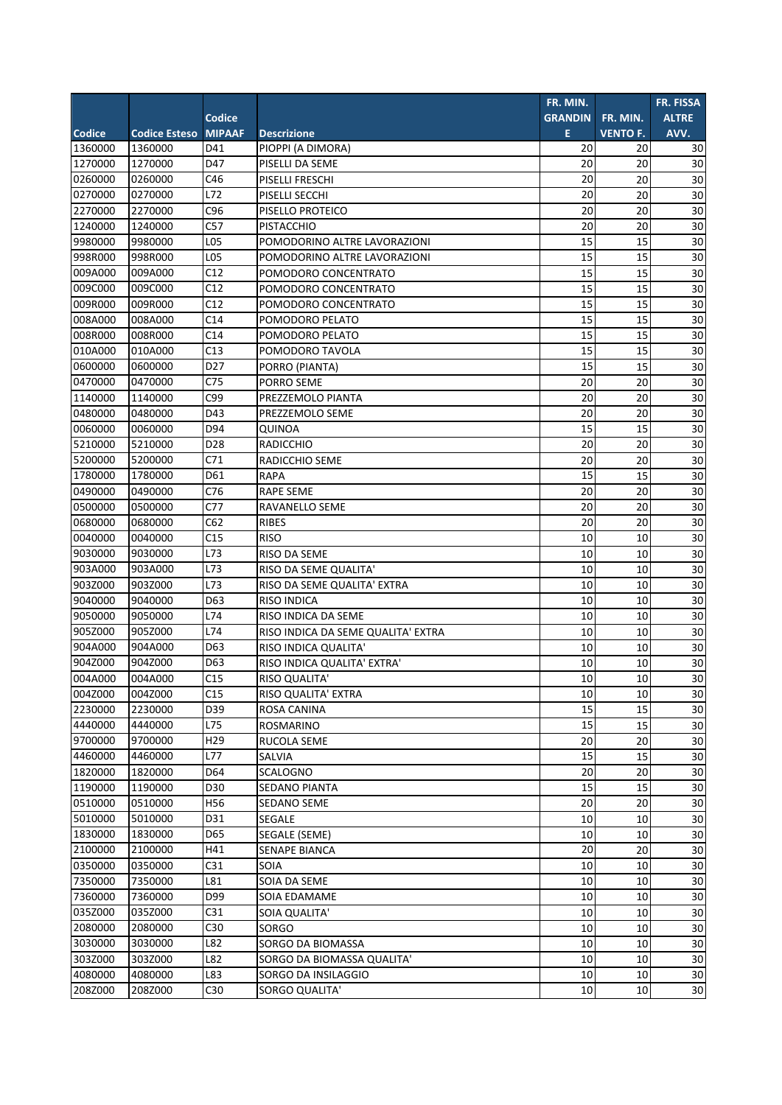|               |                      |                 |                                    | FR. MIN.       |                 | FR. FISSA    |
|---------------|----------------------|-----------------|------------------------------------|----------------|-----------------|--------------|
|               |                      | <b>Codice</b>   |                                    | <b>GRANDIN</b> | FR. MIN.        | <b>ALTRE</b> |
| <b>Codice</b> | <b>Codice Esteso</b> | <b>MIPAAF</b>   | <b>Descrizione</b>                 | E              | <b>VENTO F.</b> | AVV.         |
| 1360000       | 1360000              | D41             | PIOPPI (A DIMORA)                  | 20             | 20              | 30           |
| 1270000       | 1270000              | D47             | PISELLI DA SEME                    | 20             | 20              | 30           |
| 0260000       | 0260000              | C46             | PISELLI FRESCHI                    | 20             | 20              | 30           |
| 0270000       | 0270000              | L72             | PISELLI SECCHI                     | 20             | 20              | 30           |
| 2270000       | 2270000              | C <sub>96</sub> | PISELLO PROTEICO                   | 20             | 20              | 30           |
| 1240000       | 1240000              | C57             | <b>PISTACCHIO</b>                  | 20             | 20              | 30           |
| 9980000       | 9980000              | L05             | POMODORINO ALTRE LAVORAZIONI       | 15             | 15              | 30           |
| 998R000       | 998R000              | L05             | POMODORINO ALTRE LAVORAZIONI       | 15             | 15              | 30           |
| 009A000       | 009A000              | C12             | POMODORO CONCENTRATO               | 15             | 15              | 30           |
| 009C000       | 009C000              | C12             | POMODORO CONCENTRATO               | 15             | 15              | 30           |
| 009R000       | 009R000              | C12             | POMODORO CONCENTRATO               | 15             | 15              | 30           |
| 008A000       | 008A000              | C14             | POMODORO PELATO                    | 15             | 15              | 30           |
| 008R000       | 008R000              | C14             | POMODORO PELATO                    | 15             | 15              | 30           |
| 010A000       | 010A000              | C13             | POMODORO TAVOLA                    | 15             | 15              | 30           |
| 0600000       | 0600000              | D <sub>27</sub> | PORRO (PIANTA)                     | 15             | 15              | 30           |
| 0470000       | 0470000              | C <sub>75</sub> | PORRO SEME                         | 20             | 20              | 30           |
| 1140000       | 1140000              | C99             | PREZZEMOLO PIANTA                  | 20             | 20              | 30           |
| 0480000       | 0480000              | D43             | PREZZEMOLO SEME                    | 20             | 20              | 30           |
| 0060000       | 0060000              | D94             | QUINOA                             | 15             | 15              | 30           |
| 5210000       | 5210000              | D <sub>28</sub> | <b>RADICCHIO</b>                   | 20             | 20              | 30           |
| 5200000       | 5200000              | C71             | RADICCHIO SEME                     | 20             | 20              | 30           |
| 1780000       | 1780000              | D61             | <b>RAPA</b>                        | 15             | 15              | 30           |
| 0490000       | 0490000              | C76             | <b>RAPE SEME</b>                   | 20             | 20              | 30           |
| 0500000       | 0500000              | C77             | RAVANELLO SEME                     | 20             | 20              | 30           |
| 0680000       | 0680000              | C62             | <b>RIBES</b>                       | 20             | 20              | 30           |
| 0040000       | 0040000              | C15             | <b>RISO</b>                        | 10             | 10              | 30           |
| 9030000       | 9030000              | L73             | RISO DA SEME                       | 10             | 10              | 30           |
| 903A000       | 903A000              | L73             | RISO DA SEME QUALITA'              | 10             | 10              | 30           |
| 903Z000       | 903Z000              | L73             | RISO DA SEME QUALITA' EXTRA        | 10             | 10              | 30           |
| 9040000       | 9040000              | D63             | <b>RISO INDICA</b>                 | 10             | 10              | 30           |
| 9050000       | 9050000              | L74             | RISO INDICA DA SEME                | 10             | 10              | 30           |
| 905Z000       | 905Z000              | L74             | RISO INDICA DA SEME QUALITA' EXTRA | 10             | 10              | 30           |
| 904A000       | 904A000              | D63             | RISO INDICA QUALITA'               | 10             | 10              | 30           |
| 904Z000       | 904Z000              | D63             | RISO INDICA QUALITA' EXTRA'        | 10             | 10              | 30           |
| 004A000       | 004A000              | C15             | <b>RISO QUALITA'</b>               | 10             | 10 <sup>1</sup> | 30           |
| 004Z000       | 004Z000              | C15             | RISO QUALITA' EXTRA                | 10             | 10              | 30           |
| 2230000       | 2230000              | D39             | ROSA CANINA                        | 15             | 15              | 30           |
| 4440000       | 4440000              | L75             | ROSMARINO                          | 15             | 15              | 30           |
| 9700000       | 9700000              | H <sub>29</sub> | RUCOLA SEME                        | 20             | 20              | 30           |
| 4460000       | 4460000              | L77             | SALVIA                             | 15             | 15              | 30           |
| 1820000       | 1820000              | D64             | SCALOGNO                           | 20             | 20              | 30           |
| 1190000       | 1190000              | D30             | SEDANO PIANTA                      | 15             | 15              | 30           |
| 0510000       | 0510000              | H56             | <b>SEDANO SEME</b>                 | 20             | 20              | 30           |
| 5010000       | 5010000              | D31             | SEGALE                             | 10             | 10              | 30           |
| 1830000       | 1830000              | D65             | SEGALE (SEME)                      | 10             | 10              | 30           |
| 2100000       | 2100000              | H41             | SENAPE BIANCA                      | 20             | 20              | 30           |
| 0350000       | 0350000              | C31             | SOIA                               | 10             | 10              | 30           |
| 7350000       | 7350000              | L81             | SOIA DA SEME                       | 10             | 10              | 30           |
| 7360000       | 7360000              | D99             | SOIA EDAMAME                       | 10             | 10              | 30           |
| 035Z000       | 035Z000              | C31             | SOIA QUALITA'                      | 10             | 10              | 30           |
| 2080000       | 2080000              | C30             | SORGO                              | 10             | 10              | 30           |
| 3030000       | 3030000              | L82             | SORGO DA BIOMASSA                  | 10             | 10              | $30\,$       |
| 303Z000       | 303Z000              | L82             | SORGO DA BIOMASSA QUALITA'         | 10             | 10              | 30           |
| 4080000       | 4080000              | L83             | SORGO DA INSILAGGIO                | 10             | 10              | 30           |
| 208Z000       | 208Z000              | C30             | SORGO QUALITA'                     | 10             | 10              | 30           |